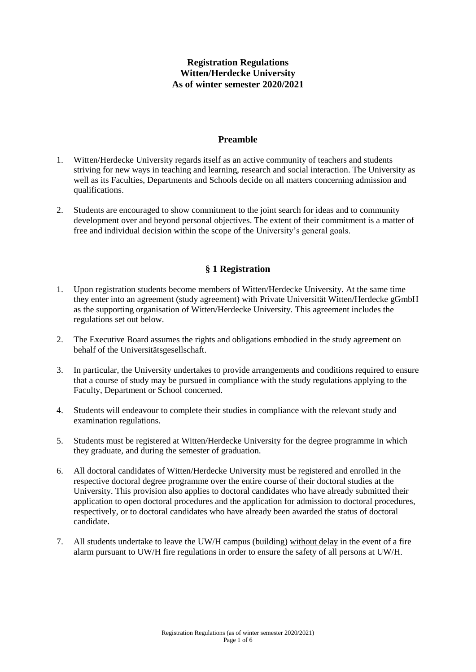# **Registration Regulations Witten/Herdecke University As of winter semester 2020/2021**

#### **Preamble**

- 1. Witten/Herdecke University regards itself as an active community of teachers and students striving for new ways in teaching and learning, research and social interaction. The University as well as its Faculties, Departments and Schools decide on all matters concerning admission and qualifications.
- 2. Students are encouraged to show commitment to the joint search for ideas and to community development over and beyond personal objectives. The extent of their commitment is a matter of free and individual decision within the scope of the University's general goals.

#### **§ 1 Registration**

- 1. Upon registration students become members of Witten/Herdecke University. At the same time they enter into an agreement (study agreement) with Private Universität Witten/Herdecke gGmbH as the supporting organisation of Witten/Herdecke University. This agreement includes the regulations set out below.
- 2. The Executive Board assumes the rights and obligations embodied in the study agreement on behalf of the Universitätsgesellschaft.
- 3. In particular, the University undertakes to provide arrangements and conditions required to ensure that a course of study may be pursued in compliance with the study regulations applying to the Faculty, Department or School concerned.
- 4. Students will endeavour to complete their studies in compliance with the relevant study and examination regulations.
- 5. Students must be registered at Witten/Herdecke University for the degree programme in which they graduate, and during the semester of graduation.
- 6. All doctoral candidates of Witten/Herdecke University must be registered and enrolled in the respective doctoral degree programme over the entire course of their doctoral studies at the University. This provision also applies to doctoral candidates who have already submitted their application to open doctoral procedures and the application for admission to doctoral procedures, respectively, or to doctoral candidates who have already been awarded the status of doctoral candidate.
- 7. All students undertake to leave the UW/H campus (building) without delay in the event of a fire alarm pursuant to UW/H fire regulations in order to ensure the safety of all persons at UW/H.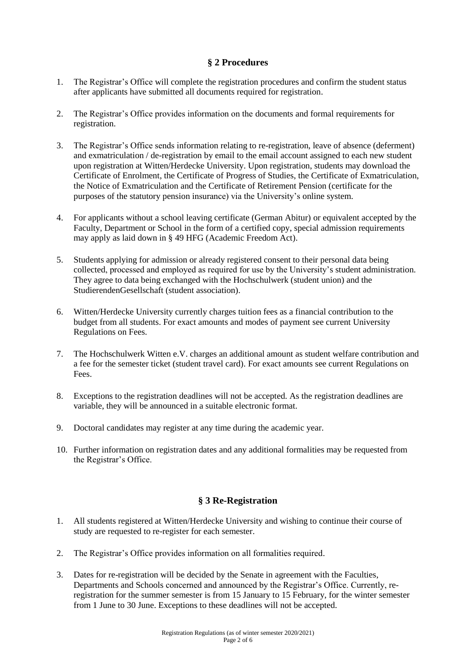### **§ 2 Procedures**

- 1. The Registrar's Office will complete the registration procedures and confirm the student status after applicants have submitted all documents required for registration.
- 2. The Registrar's Office provides information on the documents and formal requirements for registration.
- 3. The Registrar's Office sends information relating to re-registration, leave of absence (deferment) and exmatriculation / de-registration by email to the email account assigned to each new student upon registration at Witten/Herdecke University. Upon registration, students may download the Certificate of Enrolment, the Certificate of Progress of Studies, the Certificate of Exmatriculation, the Notice of Exmatriculation and the Certificate of Retirement Pension (certificate for the purposes of the statutory pension insurance) via the University's online system.
- 4. For applicants without a school leaving certificate (German Abitur) or equivalent accepted by the Faculty, Department or School in the form of a certified copy, special admission requirements may apply as laid down in § 49 HFG (Academic Freedom Act).
- 5. Students applying for admission or already registered consent to their personal data being collected, processed and employed as required for use by the University's student administration. They agree to data being exchanged with the Hochschulwerk (student union) and the StudierendenGesellschaft (student association).
- 6. Witten/Herdecke University currently charges tuition fees as a financial contribution to the budget from all students. For exact amounts and modes of payment see current University Regulations on Fees.
- 7. The Hochschulwerk Witten e.V. charges an additional amount as student welfare contribution and a fee for the semester ticket (student travel card). For exact amounts see current Regulations on Fees.
- 8. Exceptions to the registration deadlines will not be accepted. As the registration deadlines are variable, they will be announced in a suitable electronic format.
- 9. Doctoral candidates may register at any time during the academic year.
- 10. Further information on registration dates and any additional formalities may be requested from the Registrar's Office.

### **§ 3 Re-Registration**

- 1. All students registered at Witten/Herdecke University and wishing to continue their course of study are requested to re-register for each semester.
- 2. The Registrar's Office provides information on all formalities required.
- 3. Dates for re-registration will be decided by the Senate in agreement with the Faculties, Departments and Schools concerned and announced by the Registrar's Office. Currently, reregistration for the summer semester is from 15 January to 15 February, for the winter semester from 1 June to 30 June. Exceptions to these deadlines will not be accepted.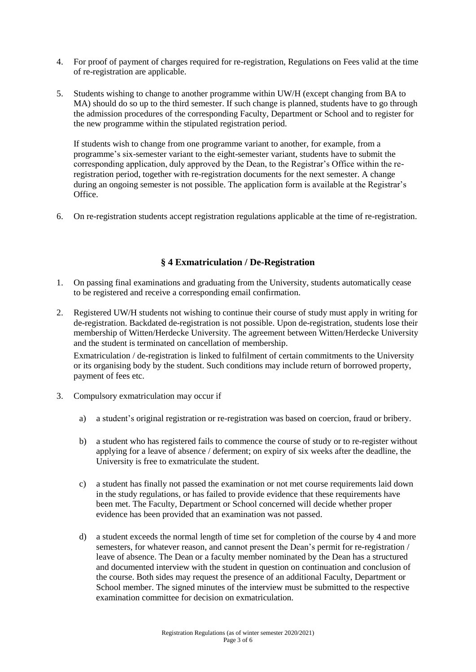- 4. For proof of payment of charges required for re-registration, Regulations on Fees valid at the time of re-registration are applicable.
- 5. Students wishing to change to another programme within UW/H (except changing from BA to MA) should do so up to the third semester. If such change is planned, students have to go through the admission procedures of the corresponding Faculty, Department or School and to register for the new programme within the stipulated registration period.

If students wish to change from one programme variant to another, for example, from a programme's six-semester variant to the eight-semester variant, students have to submit the corresponding application, duly approved by the Dean, to the Registrar's Office within the reregistration period, together with re-registration documents for the next semester. A change during an ongoing semester is not possible. The application form is available at the Registrar's Office.

6. On re-registration students accept registration regulations applicable at the time of re-registration.

### **§ 4 Exmatriculation / De-Registration**

- 1. On passing final examinations and graduating from the University, students automatically cease to be registered and receive a corresponding email confirmation.
- 2. Registered UW/H students not wishing to continue their course of study must apply in writing for de-registration. Backdated de-registration is not possible. Upon de-registration, students lose their membership of Witten/Herdecke University. The agreement between Witten/Herdecke University and the student is terminated on cancellation of membership.

Exmatriculation / de-registration is linked to fulfilment of certain commitments to the University or its organising body by the student. Such conditions may include return of borrowed property, payment of fees etc.

- 3. Compulsory exmatriculation may occur if
	- a) a student's original registration or re-registration was based on coercion, fraud or bribery.
	- b) a student who has registered fails to commence the course of study or to re-register without applying for a leave of absence / deferment; on expiry of six weeks after the deadline, the University is free to exmatriculate the student.
	- c) a student has finally not passed the examination or not met course requirements laid down in the study regulations, or has failed to provide evidence that these requirements have been met. The Faculty, Department or School concerned will decide whether proper evidence has been provided that an examination was not passed.
	- d) a student exceeds the normal length of time set for completion of the course by 4 and more semesters, for whatever reason, and cannot present the Dean's permit for re-registration / leave of absence. The Dean or a faculty member nominated by the Dean has a structured and documented interview with the student in question on continuation and conclusion of the course. Both sides may request the presence of an additional Faculty, Department or School member. The signed minutes of the interview must be submitted to the respective examination committee for decision on exmatriculation.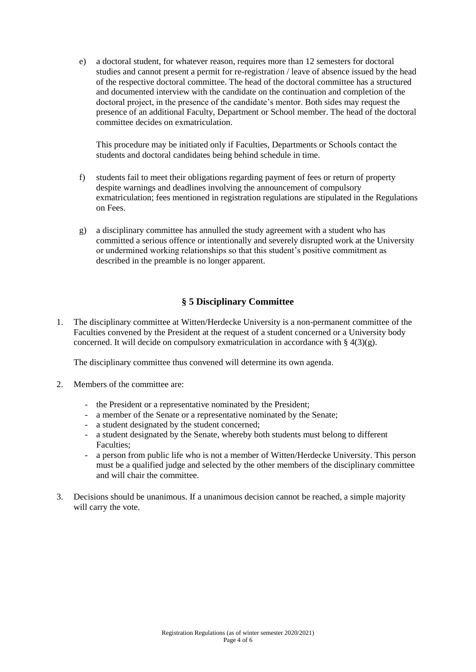e) a doctoral student, for whatever reason, requires more than 12 semesters for doctoral studies and cannot present a permit for re-registration / leave of absence issued by the head of the respective doctoral committee. The head of the doctoral committee has a structured and documented interview with the candidate on the continuation and completion of the doctoral project, in the presence of the candidate's mentor. Both sides may request the presence of an additional Faculty, Department or School member. The head of the doctoral committee decides on exmatriculation.

This procedure may be initiated only if Faculties, Departments or Schools contact the students and doctoral candidates being behind schedule in time.

- f) students fail to meet their obligations regarding payment of fees or return of property despite warnings and deadlines involving the announcement of compulsory exmatriculation; fees mentioned in registration regulations are stipulated in the Regulations on Fees.
- g) a disciplinary committee has annulled the study agreement with a student who has committed a serious offence or intentionally and severely disrupted work at the University or undermined working relationships so that this student's positive commitment as described in the preamble is no longer apparent.

# **§ 5 Disciplinary Committee**

1. The disciplinary committee at Witten/Herdecke University is a non-permanent committee of the Faculties convened by the President at the request of a student concerned or a University body concerned. It will decide on compulsory exmatriculation in accordance with  $\S 4(3)(g)$ .

The disciplinary committee thus convened will determine its own agenda.

- 2. Members of the committee are:
	- the President or a representative nominated by the President;
	- a member of the Senate or a representative nominated by the Senate;
	- a student designated by the student concerned;
	- a student designated by the Senate, whereby both students must belong to different Faculties;
	- a person from public life who is not a member of Witten/Herdecke University. This person must be a qualified judge and selected by the other members of the disciplinary committee and will chair the committee.
- 3. Decisions should be unanimous. If a unanimous decision cannot be reached, a simple majority will carry the vote.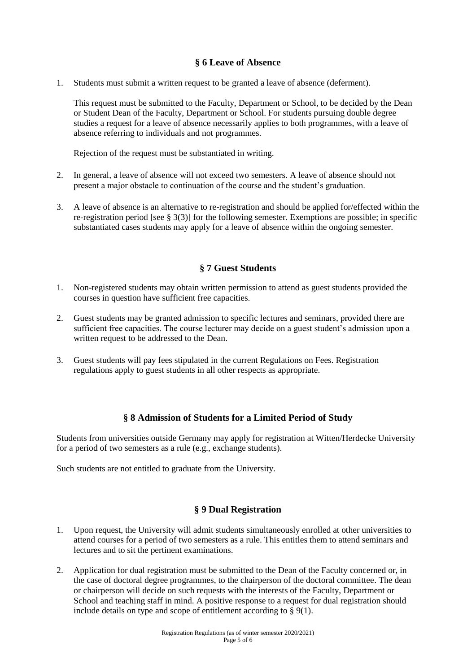### **§ 6 Leave of Absence**

1. Students must submit a written request to be granted a leave of absence (deferment).

This request must be submitted to the Faculty, Department or School, to be decided by the Dean or Student Dean of the Faculty, Department or School. For students pursuing double degree studies a request for a leave of absence necessarily applies to both programmes, with a leave of absence referring to individuals and not programmes.

Rejection of the request must be substantiated in writing.

- 2. In general, a leave of absence will not exceed two semesters. A leave of absence should not present a major obstacle to continuation of the course and the student's graduation.
- 3. A leave of absence is an alternative to re-registration and should be applied for/effected within the re-registration period [see § 3(3)] for the following semester. Exemptions are possible; in specific substantiated cases students may apply for a leave of absence within the ongoing semester.

# **§ 7 Guest Students**

- 1. Non-registered students may obtain written permission to attend as guest students provided the courses in question have sufficient free capacities.
- 2. Guest students may be granted admission to specific lectures and seminars, provided there are sufficient free capacities. The course lecturer may decide on a guest student's admission upon a written request to be addressed to the Dean.
- 3. Guest students will pay fees stipulated in the current Regulations on Fees. Registration regulations apply to guest students in all other respects as appropriate.

# **§ 8 Admission of Students for a Limited Period of Study**

Students from universities outside Germany may apply for registration at Witten/Herdecke University for a period of two semesters as a rule (e.g., exchange students).

Such students are not entitled to graduate from the University.

### **§ 9 Dual Registration**

- 1. Upon request, the University will admit students simultaneously enrolled at other universities to attend courses for a period of two semesters as a rule. This entitles them to attend seminars and lectures and to sit the pertinent examinations.
- 2. Application for dual registration must be submitted to the Dean of the Faculty concerned or, in the case of doctoral degree programmes, to the chairperson of the doctoral committee. The dean or chairperson will decide on such requests with the interests of the Faculty, Department or School and teaching staff in mind. A positive response to a request for dual registration should include details on type and scope of entitlement according to  $\S$  9(1).